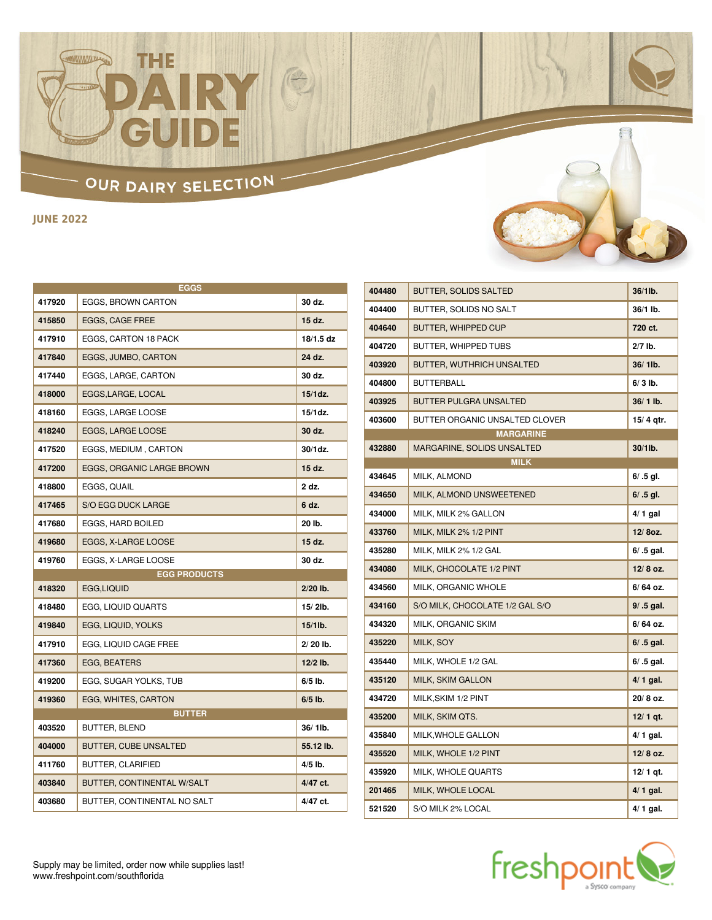#### OUR DAIRY SELECTION -

H

THE

**JUNE 2022**

| <b>EGGS</b> |                              |            |
|-------------|------------------------------|------------|
| 417920      | EGGS, BROWN CARTON           | 30 dz.     |
| 415850      | <b>EGGS, CAGE FREE</b>       | 15 dz.     |
| 417910      | <b>EGGS, CARTON 18 PACK</b>  | 18/1.5 dz  |
| 417840      | <b>EGGS, JUMBO, CARTON</b>   | 24 dz.     |
| 417440      | EGGS, LARGE, CARTON          | 30 dz.     |
| 418000      | EGGS, LARGE, LOCAL           | $15/1$ dz. |
| 418160      | EGGS, LARGE LOOSE            | 15/1dz.    |
| 418240      | <b>EGGS. LARGE LOOSE</b>     | 30 dz.     |
| 417520      | <b>EGGS, MEDIUM, CARTON</b>  | $30/1$ dz. |
| 417200      | EGGS, ORGANIC LARGE BROWN    | 15 dz.     |
| 418800      | EGGS, QUAIL                  | 2 dz.      |
| 417465      | <b>S/O EGG DUCK LARGE</b>    | 6 dz.      |
| 417680      | EGGS, HARD BOILED            | 20 lb.     |
| 419680      | EGGS, X-LARGE LOOSE          | 15 dz.     |
| 419760      | EGGS, X-LARGE LOOSE          | 30 dz.     |
|             | <b>EGG PRODUCTS</b>          |            |
| 418320      | EGG,LIQUID                   | 2/20 lb.   |
| 418480      | EGG, LIQUID QUARTS           | $15/2$ lb. |
| 419840      | EGG, LIQUID, YOLKS           | $15/1$ lb. |
| 417910      | EGG, LIQUID CAGE FREE        | 2/20 lb.   |
| 417360      | <b>EGG, BEATERS</b>          | $12/2$ lb. |
| 419200      | EGG, SUGAR YOLKS, TUB        | $6/5$ lb.  |
| 419360      | EGG, WHITES, CARTON          | $6/5$ lb.  |
|             | <b>BUTTER</b>                |            |
| 403520      | <b>BUTTER, BLEND</b>         | 36/1lb.    |
| 404000      | <b>BUTTER, CUBE UNSALTED</b> | 55.12 lb.  |
| 411760      | <b>BUTTER, CLARIFIED</b>     | 4/5 lb.    |
| 403840      | BUTTER, CONTINENTAL W/SALT   | 4/47 ct.   |
| 403680      | BUTTER, CONTINENTAL NO SALT  | 4/47 ct.   |



| 404480 | BUTTER, SOLIDS SALTED           | 36/1lb.      |
|--------|---------------------------------|--------------|
| 404400 | BUTTER, SOLIDS NO SALT          | 36/1 lb.     |
| 404640 | <b>BUTTER, WHIPPED CUP</b>      | 720 ct.      |
| 404720 | BUTTER, WHIPPED TUBS            | 2/7 lb.      |
| 403920 | BUTTER, WUTHRICH UNSALTED       | 36/1lb.      |
| 404800 | <b>BUTTERBALL</b>               | $6/3$ lb.    |
| 403925 | <b>BUTTER PULGRA UNSALTED</b>   | 36/1 lb.     |
| 403600 | BUTTER ORGANIC UNSALTED CLOVER  | 15/4 gtr.    |
|        | <b>MARGARINE</b>                |              |
| 432880 | MARGARINE, SOLIDS UNSALTED      | 30/1lb.      |
|        | <b>MILK</b>                     |              |
| 434645 | MILK, ALMOND                    | $6/ .5$ gl.  |
| 434650 | MILK, ALMOND UNSWEETENED        | $6/ .5$ gl.  |
| 434000 | MILK, MILK 2% GALLON            | $4/1$ gal    |
| 433760 | MILK, MILK 2% 1/2 PINT          | 12/80z.      |
| 435280 | MILK, MILK 2% 1/2 GAL           | $6/ .5$ gal. |
| 434080 | MILK, CHOCOLATE 1/2 PINT        | 12/8 oz.     |
| 434560 | MILK, ORGANIC WHOLE             | 6/64 oz.     |
| 434160 | S/O MILK, CHOCOLATE 1/2 GAL S/O | $9/ .5$ gal. |
| 434320 | MILK, ORGANIC SKIM              | $6/64$ oz.   |
| 435220 | MILK, SOY                       | $6/ .5$ gal. |
| 435440 | MILK, WHOLE 1/2 GAL             | $6/ .5$ gal. |
| 435120 | <b>MILK, SKIM GALLON</b>        | $4/1$ gal.   |
| 434720 | MILK, SKIM 1/2 PINT             | 20/8 oz.     |
| 435200 | MILK, SKIM QTS.                 | $12/1$ qt.   |
| 435840 | MILK, WHOLE GALLON              | $4/1$ gal.   |
| 435520 | MILK, WHOLE 1/2 PINT            | 12/8 oz.     |
| 435920 | MILK, WHOLE QUARTS              | 12/ 1 gt.    |
| 201465 | MILK, WHOLE LOCAL               | $4/1$ gal.   |
| 521520 | S/O MILK 2% LOCAL               | $4/1$ gal.   |

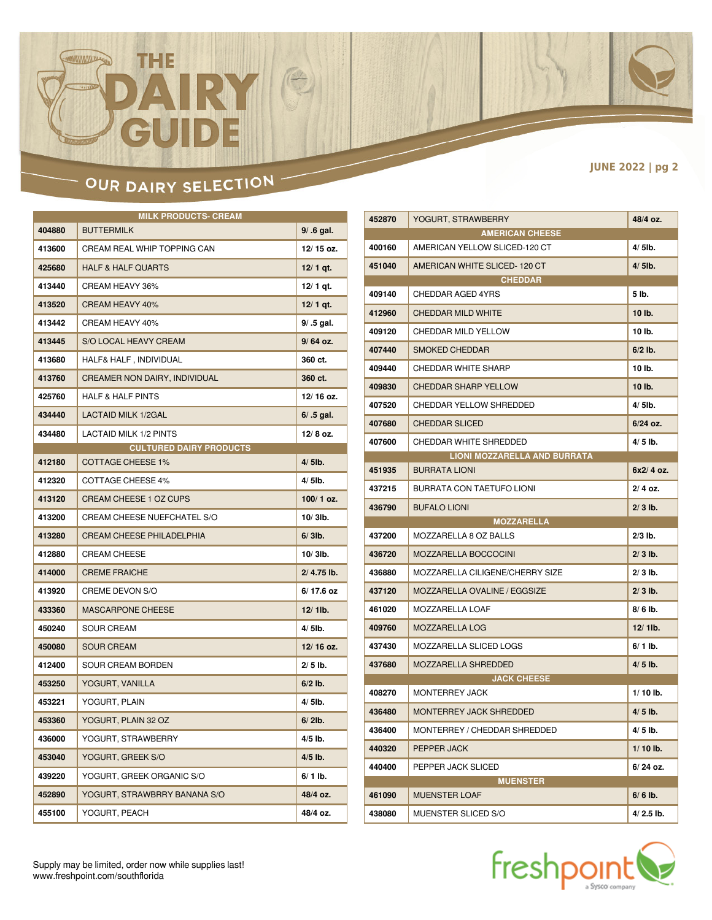# $\mathbf{D}$  :

 $\begin{picture}(42,10) \put(0,0){\line(1,0){10}} \put(15,0){\line(1,0){10}} \put(15,0){\line(1,0){10}} \put(15,0){\line(1,0){10}} \put(15,0){\line(1,0){10}} \put(15,0){\line(1,0){10}} \put(15,0){\line(1,0){10}} \put(15,0){\line(1,0){10}} \put(15,0){\line(1,0){10}} \put(15,0){\line(1,0){10}} \put(15,0){\line(1,0){10}} \put(15,0){\line(1$ 

THE

**JUNE 2022 | pg 2**

#### OUR DAIRY SELECTION -

| <b>MILK PRODUCTS- CREAM</b> |                                      |              |
|-----------------------------|--------------------------------------|--------------|
| 404880                      | <b>BUTTERMILK</b>                    | 9/ .6 gal.   |
| 413600                      | CREAM REAL WHIP TOPPING CAN          | 12/15 oz.    |
| 425680                      | <b>HALF &amp; HALF QUARTS</b>        | $12/1$ qt.   |
| 413440                      | CREAM HEAVY 36%                      | $12/1$ qt.   |
| 413520                      | CREAM HEAVY 40%                      | $12/1$ qt.   |
| 413442                      | CREAM HEAVY 40%                      | 9/ .5 gal.   |
| 413445                      | <b>S/O LOCAL HEAVY CREAM</b>         | $9/64$ oz.   |
| 413680                      | HALF& HALF, INDIVIDUAL               | 360 ct.      |
| 413760                      | <b>CREAMER NON DAIRY, INDIVIDUAL</b> | 360 ct.      |
| 425760                      | <b>HALF &amp; HALF PINTS</b>         | 12/16 oz.    |
| 434440                      | <b>LACTAID MILK 1/2GAL</b>           | $6/ .5$ gal. |
| 434480                      | LACTAID MILK 1/2 PINTS               | 12/8 oz.     |
|                             | <b>CULTURED DAIRY PRODUCTS</b>       |              |
| 412180                      | <b>COTTAGE CHEESE 1%</b>             | $4/5$ lb.    |
| 412320                      | <b>COTTAGE CHEESE 4%</b>             | 4/5lb.       |
| 413120                      | <b>CREAM CHEESE 1 OZ CUPS</b>        | 100/1 oz.    |
| 413200                      | CREAM CHEESE NUEFCHATEL S/O          | $10/3$ lb.   |
| 413280                      | <b>CREAM CHEESE PHILADELPHIA</b>     | $6/3$ lb.    |
| 412880                      | <b>CREAM CHEESE</b>                  | $10/3$ lb.   |
| 414000                      | <b>CREME FRAICHE</b>                 | 2/ 4.75 lb.  |
| 413920                      | CREME DEVON S/O                      | 6/17.6 oz    |
| 433360                      | <b>MASCARPONE CHEESE</b>             | $12/1$ lb.   |
| 450240                      | <b>SOUR CREAM</b>                    | 4/5lb.       |
| 450080                      | <b>SOUR CREAM</b>                    | 12/16 oz.    |
| 412400                      | <b>SOUR CREAM BORDEN</b>             | $2/5$ lb.    |
| 453250                      | YOGURT, VANILLA                      | $6/2$ lb.    |
| 453221                      | YOGURT, PLAIN                        | $4/5$ lb.    |
| 453360                      | YOGURT, PLAIN 32 OZ                  | $6/2$ lb.    |
| 436000                      | YOGURT, STRAWBERRY                   | 4/5 lb.      |
| 453040                      | YOGURT, GREEK S/O                    | 4/5 lb.      |
| 439220                      | YOGURT, GREEK ORGANIC S/O            | 6/ 1 lb.     |
| 452890                      | YOGURT, STRAWBRRY BANANA S/O         | 48/4 oz.     |
| 455100                      | YOGURT, PEACH                        | 48/4 oz.     |

| 452870           | YOGURT, STRAWBERRY                          | 48/4 oz.                 |
|------------------|---------------------------------------------|--------------------------|
|                  | <b>AMERICAN CHEESE</b>                      |                          |
| 400160           | AMERICAN YELLOW SLICED-120 CT               | $4/5$ lb.                |
| 451040           | AMERICAN WHITE SLICED-120 CT                | $4/5$ lb.                |
|                  | <b>CHEDDAR</b>                              |                          |
| 409140           | <b>CHEDDAR AGED 4YRS</b>                    | 5 lb.                    |
| 412960           | <b>CHEDDAR MILD WHITE</b>                   | 10 lb.                   |
| 409120           | CHEDDAR MILD YELLOW                         | 10 lb.                   |
| 407440           | <b>SMOKED CHEDDAR</b>                       | $6/2$ lb.                |
| 409440           | <b>CHEDDAR WHITE SHARP</b>                  | 10 lb.                   |
| 409830           | <b>CHEDDAR SHARP YELLOW</b>                 | 10 lb.                   |
| 407520           | CHEDDAR YELLOW SHREDDED                     | $4/5$ lb.                |
| 407680           | <b>CHEDDAR SLICED</b>                       | $6/24$ oz.               |
| 407600           | CHEDDAR WHITE SHREDDED                      | $4/5$ lb.                |
|                  | <b>LIONI MOZZARELLA AND BURRATA</b>         |                          |
| 451935           | <b>BURRATA LIONI</b>                        | 6x2/4 oz.                |
| 437215           | BURRATA CON TAETUFO LIONI                   | $2/4$ oz.                |
| 436790           | <b>BUFALO LIONI</b>                         | $2/3$ lb.                |
|                  |                                             |                          |
|                  | <b>MOZZARELLA</b>                           |                          |
| 437200           | MOZZARELLA 8 OZ BALLS                       | $2/3$ lb.                |
| 436720           | MOZZARELLA BOCCOCINI                        | $2/3$ lb.                |
| 436880           | MOZZARELLA CILIGENE/CHERRY SIZE             | $2/3$ lb.                |
| 437120           | <b>MOZZARELLA OVALINE / EGGSIZE</b>         | $2/3$ lb.                |
| 461020           | MOZZARELLA LOAF                             | $8/6$ lb.                |
| 409760           | <b>MOZZARELLA LOG</b>                       | $12/1$ lb.               |
| 437430           | MOZZARELLA SLICED LOGS                      | $6/1$ lb.                |
| 437680           | MOZZARELLA SHREDDED                         | $4/5$ lb.                |
|                  | <b>JACK CHEESE</b>                          |                          |
| 408270           | <b>MONTERREY JACK</b>                       | $1/10$ lb.               |
| 436480           | <b>MONTERREY JACK SHREDDED</b>              | $4/5$ lb.                |
| 436400           | MONTERREY / CHEDDAR SHREDDED                | $4/5$ lb.                |
| 440320           | PEPPER JACK                                 | $1/10$ lb.               |
| 440400           | PEPPER JACK SLICED                          | $6/24$ oz.               |
|                  | <b>MUENSTER</b>                             |                          |
| 461090<br>438080 | <b>MUENSTER LOAF</b><br>MUENSTER SLICED S/O | $6/6$ lb.<br>$4/2.5$ lb. |

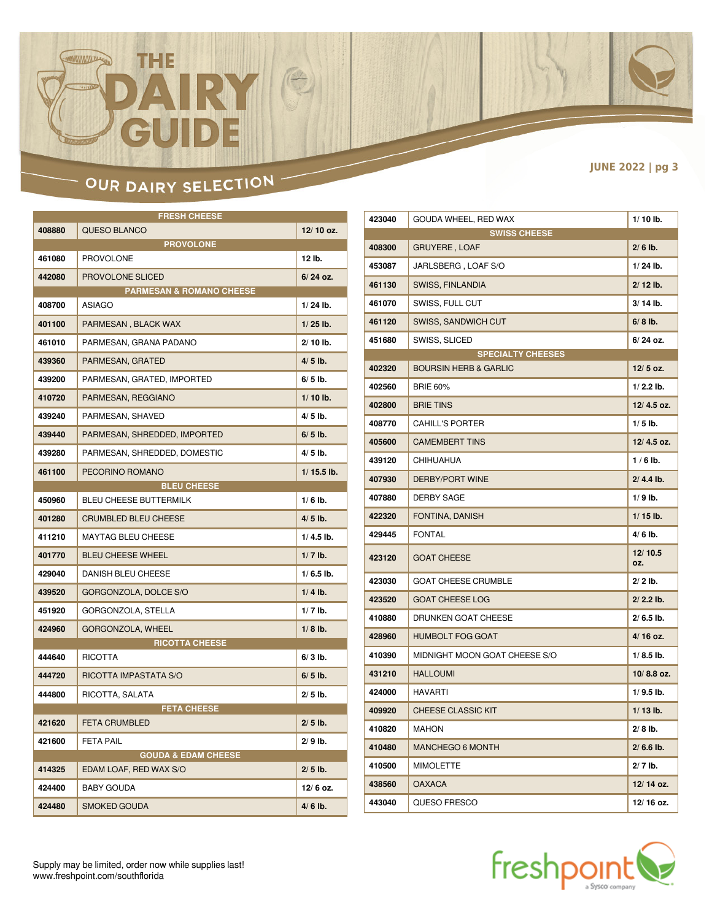### OUR DAIRY SELECTION

 $\mathbf{D}$  :

 $\begin{picture}(42,10) \put(0,0){\line(1,0){10}} \put(15,0){\line(1,0){10}} \put(15,0){\line(1,0){10}} \put(15,0){\line(1,0){10}} \put(15,0){\line(1,0){10}} \put(15,0){\line(1,0){10}} \put(15,0){\line(1,0){10}} \put(15,0){\line(1,0){10}} \put(15,0){\line(1,0){10}} \put(15,0){\line(1,0){10}} \put(15,0){\line(1,0){10}} \put(15,0){\line(1$ 

THE

|        | <b>FRESH CHEESE</b>                 |              |
|--------|-------------------------------------|--------------|
| 408880 | QUESO BLANCO                        | 12/10 oz.    |
|        | <b>PROVOLONE</b>                    |              |
| 461080 | <b>PROVOLONE</b>                    | 12 lb.       |
| 442080 | <b>PROVOLONE SLICED</b>             | 6/24 oz.     |
|        | <b>PARMESAN &amp; ROMANO CHEESE</b> |              |
| 408700 | <b>ASIAGO</b>                       | $1/24$ lb.   |
| 401100 | PARMESAN, BLACK WAX                 | $1/25$ lb.   |
| 461010 | PARMESAN, GRANA PADANO              | $2/10$ lb.   |
| 439360 | PARMESAN, GRATED                    | $4/5$ lb.    |
| 439200 | PARMESAN, GRATED, IMPORTED          | $6/5$ lb.    |
| 410720 | PARMESAN, REGGIANO                  | $1/10$ lb.   |
| 439240 | PARMESAN, SHAVED                    | $4/5$ lb.    |
| 439440 | PARMESAN, SHREDDED, IMPORTED        | $6/5$ lb.    |
| 439280 | PARMESAN, SHREDDED, DOMESTIC        | $4/5$ lb.    |
| 461100 | PECORINO ROMANO                     | $1/15.5$ lb. |
|        | <b>BLEU CHEESE</b>                  |              |
| 450960 | <b>BLEU CHEESE BUTTERMILK</b>       | $1/6$ lb.    |
| 401280 | <b>CRUMBLED BLEU CHEESE</b>         | $4/5$ lb.    |
| 411210 | <b>MAYTAG BLEU CHEESE</b>           | $1/4.5$ lb.  |
| 401770 | <b>BLEU CHEESE WHEEL</b>            | $1/7$ lb.    |
| 429040 | <b>DANISH BLEU CHEESE</b>           | $1/6.5$ lb.  |
| 439520 | GORGONZOLA, DOLCE S/O               | $1/4$ lb.    |
| 451920 | GORGONZOLA, STELLA                  | $1/7$ lb.    |
| 424960 | <b>GORGONZOLA, WHEEL</b>            | $1/8$ lb.    |
|        | <b>RICOTTA CHEESE</b>               |              |
| 444640 | <b>RICOTTA</b>                      | $6/3$ lb.    |
| 444720 | RICOTTA IMPASTATA S/O               | $6/5$ lb.    |
| 444800 | RICOTTA, SALATA                     | $2/5$ lb.    |
|        | <b>FETA CHEESE</b>                  |              |
| 421620 | <b>FETA CRUMBLED</b>                | $2/5$ lb.    |
| 421600 | <b>FETA PAIL</b>                    | $2/9$ lb.    |
|        | <b>GOUDA &amp; EDAM CHEESE</b>      |              |
| 414325 | EDAM LOAF, RED WAX S/O              | $2/5$ lb.    |
| 424400 | <b>BABY GOUDA</b>                   | 12/6 oz.     |
| 424480 | <b>SMOKED GOUDA</b>                 | $4/6$ lb.    |

| 423040 | GOUDA WHEEL, RED WAX             | $1/10$ lb.     |
|--------|----------------------------------|----------------|
|        | <b>SWISS CHEESE</b>              |                |
| 408300 | <b>GRUYERE, LOAF</b>             | $2/6$ lb.      |
| 453087 | JARLSBERG, LOAF S/O              | $1/24$ lb.     |
| 461130 | <b>SWISS, FINLANDIA</b>          | $2/12$ lb.     |
| 461070 | SWISS, FULL CUT                  | $3/14$ lb.     |
| 461120 | <b>SWISS, SANDWICH CUT</b>       | $6/8$ lb.      |
| 451680 | SWISS, SLICED                    | 6/ 24 oz.      |
|        | <b>SPECIALTY CHEESES</b>         |                |
| 402320 | <b>BOURSIN HERB &amp; GARLIC</b> | 12/5 oz.       |
| 402560 | <b>BRIE 60%</b>                  | $1/2.2$ lb.    |
| 402800 | <b>BRIE TINS</b>                 | 12/4.5 oz.     |
| 408770 | <b>CAHILL'S PORTER</b>           | $1/5$ lb.      |
| 405600 | <b>CAMEMBERT TINS</b>            | 12/4.5 oz.     |
| 439120 | CHIHUAHUA                        | $1/6$ lb.      |
| 407930 | <b>DERBY/PORT WINE</b>           | $2/4.4$ lb.    |
| 407880 | <b>DERBY SAGE</b>                | $1/9$ lb.      |
| 422320 | FONTINA, DANISH                  | $1/15$ lb.     |
| 429445 | <b>FONTAL</b>                    | 4/6 lb.        |
| 423120 | <b>GOAT CHEESE</b>               | 12/10.5<br>OZ. |
| 423030 | <b>GOAT CHEESE CRUMBLE</b>       | $2/2$ lb.      |
| 423520 | <b>GOAT CHEESE LOG</b>           | $2/2.2$ lb.    |
| 410880 | DRUNKEN GOAT CHEESE              | $2/6.5$ lb.    |
| 428960 | <b>HUMBOLT FOG GOAT</b>          | 4/16 oz.       |
| 410390 | MIDNIGHT MOON GOAT CHEESE S/O    | $1/8.5$ lb.    |
| 431210 | <b>HALLOUMI</b>                  | 10/8.8 oz.     |
| 424000 | <b>HAVARTI</b>                   | $1/9.5$ lb.    |
| 409920 | <b>CHEESE CLASSIC KIT</b>        | $1/13$ lb.     |
| 410820 | <b>MAHON</b>                     | $2/8$ lb.      |
| 410480 | <b>MANCHEGO 6 MONTH</b>          | $2/6.6$ lb.    |
| 410500 | <b>MIMOLETTE</b>                 | $2/7$ lb.      |
| 438560 | <b>OAXACA</b>                    | 12/14 oz.      |
| 443040 | QUESO FRESCO                     | 12/16 oz.      |



#### **JUNE 2022 | pg 3**